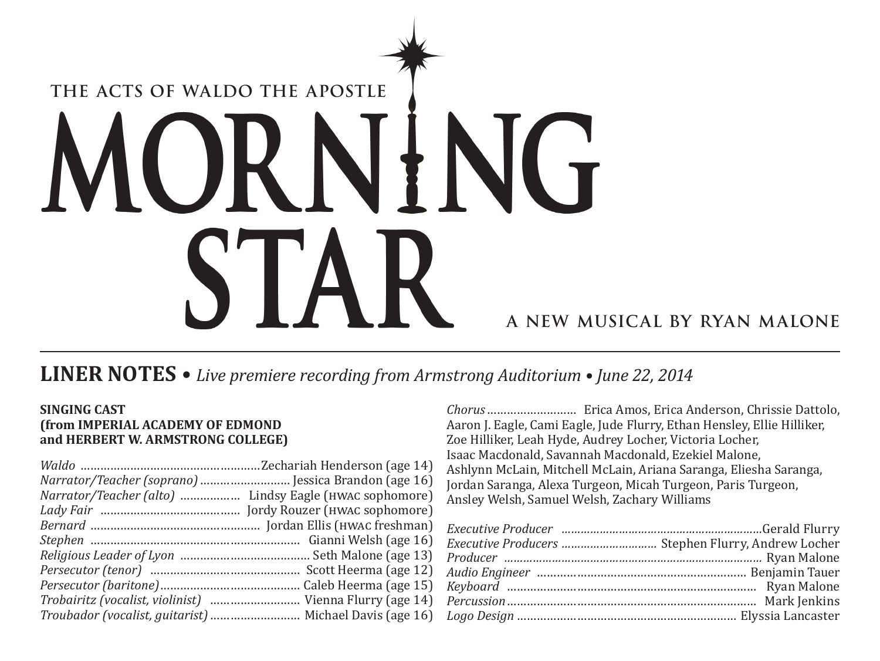# THE ACTS OF WALDO THE APOSTLE ING K N  $\sqrt{ }$  $\blacksquare$ A NEW MUSICAL BY RYAN MALONE

## **LINER NOTES**  $\bullet$  Live premiere recording from Armstrong Auditorium  $\bullet$  June 22, 2014

## **SINGING CAST** (from IMPERIAL ACADEMY OF EDMOND and HERBERT W. ARMSTRONG COLLEGE)

| Narrator/Teacher (soprano)  Jessica Brandon (age 16)     |  |
|----------------------------------------------------------|--|
|                                                          |  |
|                                                          |  |
|                                                          |  |
|                                                          |  |
|                                                          |  |
|                                                          |  |
|                                                          |  |
| Trobairitz (vocalist, violinist)  Vienna Flurry (age 14) |  |
|                                                          |  |

Aaron J. Eagle, Cami Eagle, Jude Flurry, Ethan Hensley, Ellie Hilliker, Zoe Hilliker, Leah Hyde, Audrey Locher, Victoria Locher, Isaac Macdonald, Savannah Macdonald, Ezekiel Malone, Ashlynn McLain, Mitchell McLain, Ariana Saranga, Eliesha Saranga, Jordan Saranga, Alexa Turgeon, Micah Turgeon, Paris Turgeon, Ansley Welsh, Samuel Welsh, Zachary Williams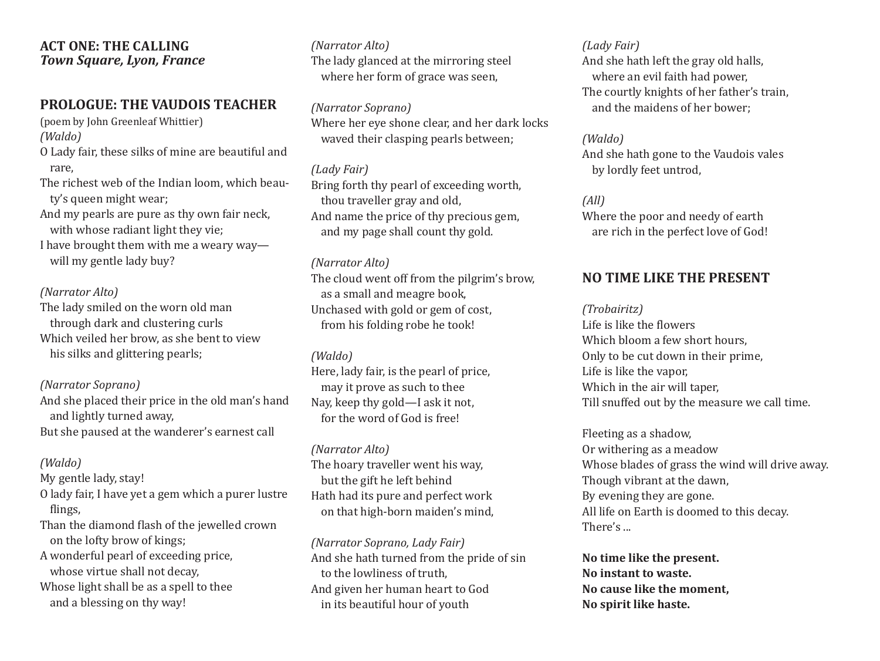## **ACT ONE: THE CALLING** *Town Square, Lyon, France*

## **Prologue: The Vaudois Teacher**

(poem by John Greenleaf Whittier) *(Waldo)* O Lady fair, these silks of mine are beautiful and rare, The richest web of the Indian loom, which beauty's queen might wear; And my pearls are pure as thy own fair neck,

with whose radiant light they vie;

I have brought them with me a weary way will my gentle lady buy?

#### *(Narrator Alto)*

The lady smiled on the worn old man through dark and clustering curls Which veiled her brow, as she bent to view his silks and glittering pearls;

*(Narrator Soprano)*  And she placed their price in the old man's hand and lightly turned away, But she paused at the wanderer's earnest call

### *(Waldo)*

My gentle lady, stay!

- O lady fair, I have yet a gem which a purer lustre flings,
- Than the diamond flash of the jewelled crown on the lofty brow of kings;
- A wonderful pearl of exceeding price, whose virtue shall not decay,
- Whose light shall be as a spell to thee and a blessing on thy way!

*(Narrator Alto)* The lady glanced at the mirroring steel where her form of grace was seen,

*(Narrator Soprano)* Where her eye shone clear, and her dark locks waved their clasping pearls between;

### *(Lady Fair)*

Bring forth thy pearl of exceeding worth, thou traveller gray and old, And name the price of thy precious gem, and my page shall count thy gold.

#### *(Narrator Alto)*

The cloud went off from the pilgrim's brow, as a small and meagre book, Unchased with gold or gem of cost, from his folding robe he took!

#### *(Waldo)*

Here, lady fair, is the pearl of price, may it prove as such to thee Nay, keep thy gold—I ask it not, for the word of God is free!

*(Narrator Alto)* The hoary traveller went his way, but the gift he left behind Hath had its pure and perfect work on that high-born maiden's mind,

*(Narrator Soprano, Lady Fair)* And she hath turned from the pride of sin to the lowliness of truth, And given her human heart to God in its beautiful hour of youth

## *(Lady Fair)*

And she hath left the gray old halls, where an evil faith had power, The courtly knights of her father's train, and the maidens of her bower;

*(Waldo)* And she hath gone to the Vaudois vales by lordly feet untrod,

## *(All)*

Where the poor and needy of earth are rich in the perfect love of God!

## **No Time Like the Present**

#### *(Trobairitz)*

Life is like the flowers Which bloom a few short hours. Only to be cut down in their prime, Life is like the vapor, Which in the air will taper, Till snuffed out by the measure we call time.

Fleeting as a shadow, Or withering as a meadow Whose blades of grass the wind will drive away. Though vibrant at the dawn, By evening they are gone. All life on Earth is doomed to this decay. There's ...

**No time like the present. No instant to waste. No cause like the moment, No spirit like haste.**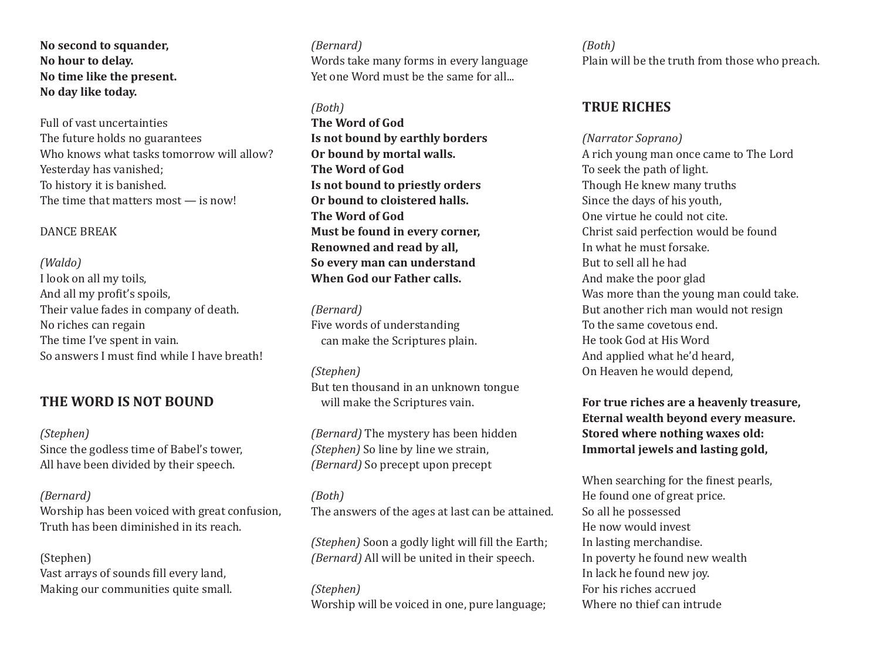**No second to squander, No hour to delay. No time like the present. No day like today.**

Full of vast uncertainties The future holds no guarantees Who knows what tasks tomorrow will allow? Yesterday has vanished; To history it is banished. The time that matters most — is now!

#### DANCE BREAK

*(Waldo)* I look on all my toils, And all my profit's spoils, Their value fades in company of death. No riches can regain The time I've spent in vain. So answers I must find while I have breath!

## **The Word Is Not Bound**

*(Stephen)*  Since the godless time of Babel's tower, All have been divided by their speech.

#### *(Bernard)*

Worship has been voiced with great confusion, Truth has been diminished in its reach.

(Stephen) Vast arrays of sounds fill every land, Making our communities quite small.

*(Bernard)*  Words take many forms in every language Yet one Word must be the same for all...

#### *(Both)*

**The Word of God Is not bound by earthly borders Or bound by mortal walls. The Word of God Is not bound to priestly orders Or bound to cloistered halls. The Word of God Must be found in every corner, Renowned and read by all, So every man can understand When God our Father calls.**

*(Bernard)*  Five words of understanding can make the Scriptures plain.

*(Stephen)*  But ten thousand in an unknown tongue will make the Scriptures vain.

*(Bernard)* The mystery has been hidden *(Stephen)* So line by line we strain, *(Bernard)* So precept upon precept

### *(Both)*  The answers of the ages at last can be attained.

*(Stephen)* Soon a godly light will fill the Earth; *(Bernard)* All will be united in their speech.

*(Stephen)*  Worship will be voiced in one, pure language; *(Both)*  Plain will be the truth from those who preach.

## **True Riches**

*(Narrator Soprano)* A rich young man once came to The Lord To seek the path of light. Though He knew many truths Since the days of his youth, One virtue he could not cite. Christ said perfection would be found In what he must forsake. But to sell all he had And make the poor glad Was more than the young man could take. But another rich man would not resign To the same covetous end. He took God at His Word And applied what he'd heard, On Heaven he would depend,

**For true riches are a heavenly treasure, Eternal wealth beyond every measure. Stored where nothing waxes old: Immortal jewels and lasting gold,**

When searching for the finest pearls, He found one of great price. So all he possessed He now would invest In lasting merchandise. In poverty he found new wealth In lack he found new joy. For his riches accrued Where no thief can intrude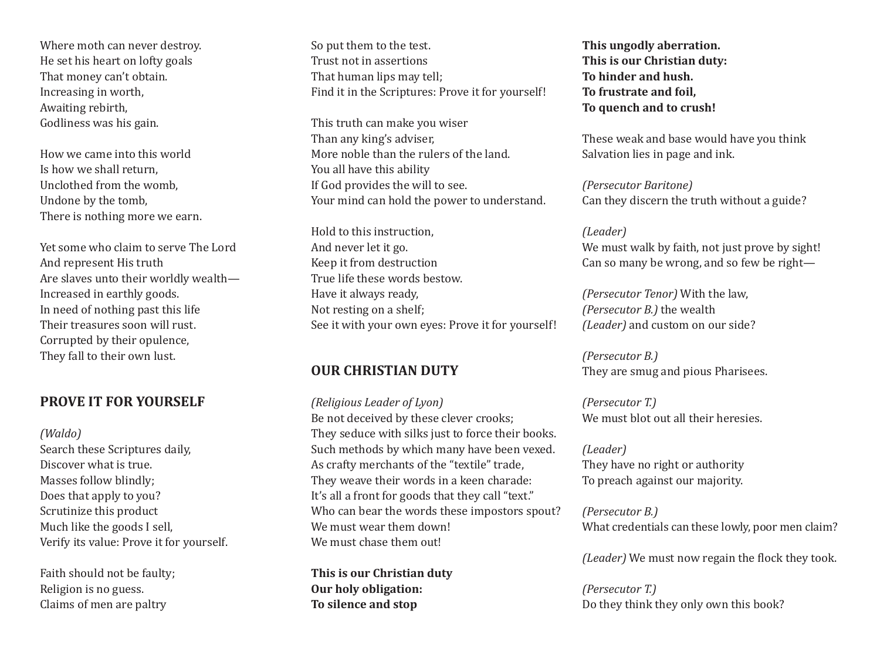Where moth can never destroy. He set his heart on lofty goals That money can't obtain. Increasing in worth, Awaiting rebirth, Godliness was his gain.

How we came into this world Is how we shall return, Unclothed from the womb, Undone by the tomb, There is nothing more we earn.

Yet some who claim to serve The Lord And represent His truth Are slaves unto their worldly wealth— Increased in earthly goods. In need of nothing past this life Their treasures soon will rust. Corrupted by their opulence, They fall to their own lust.

## **PROVE IT FOR YOURSELF**

*(Waldo)*

Search these Scriptures daily, Discover what is true. Masses follow blindly; Does that apply to you? Scrutinize this product Much like the goods I sell, Verify its value: Prove it for yourself.

Faith should not be faulty; Religion is no guess. Claims of men are paltry

So put them to the test. Trust not in assertions That human lips may tell; Find it in the Scriptures: Prove it for yourself!

This truth can make you wiser Than any king's adviser, More noble than the rulers of the land. You all have this ability If God provides the will to see. Your mind can hold the power to understand.

Hold to this instruction, And never let it go. Keep it from destruction True life these words bestow. Have it always ready, Not resting on a shelf; See it with your own eyes: Prove it for yourself!

## **Our Christian Duty**

*(Religious Leader of Lyon)* Be not deceived by these clever crooks; They seduce with silks just to force their books. Such methods by which many have been vexed. As crafty merchants of the "textile" trade, They weave their words in a keen charade: It's all a front for goods that they call "text." Who can bear the words these impostors spout? We must wear them down! We must chase them out!

**This is our Christian duty Our holy obligation: To silence and stop**

**This ungodly aberration. This is our Christian duty: To hinder and hush. To frustrate and foil, To quench and to crush!**

These weak and base would have you think Salvation lies in page and ink.

*(Persecutor Baritone)*  Can they discern the truth without a guide?

*(Leader)*  We must walk by faith, not just prove by sight! Can so many be wrong, and so few be right—

*(Persecutor Tenor)* With the law, *(Persecutor B.)* the wealth *(Leader)* and custom on our side?

*(Persecutor B.)*  They are smug and pious Pharisees.

*(Persecutor T.)*  We must blot out all their heresies.

*(Leader)* They have no right or authority To preach against our majority.

*(Persecutor B.)*  What credentials can these lowly, poor men claim?

*(Leader)* We must now regain the flock they took.

*(Persecutor T.)*  Do they think they only own this book?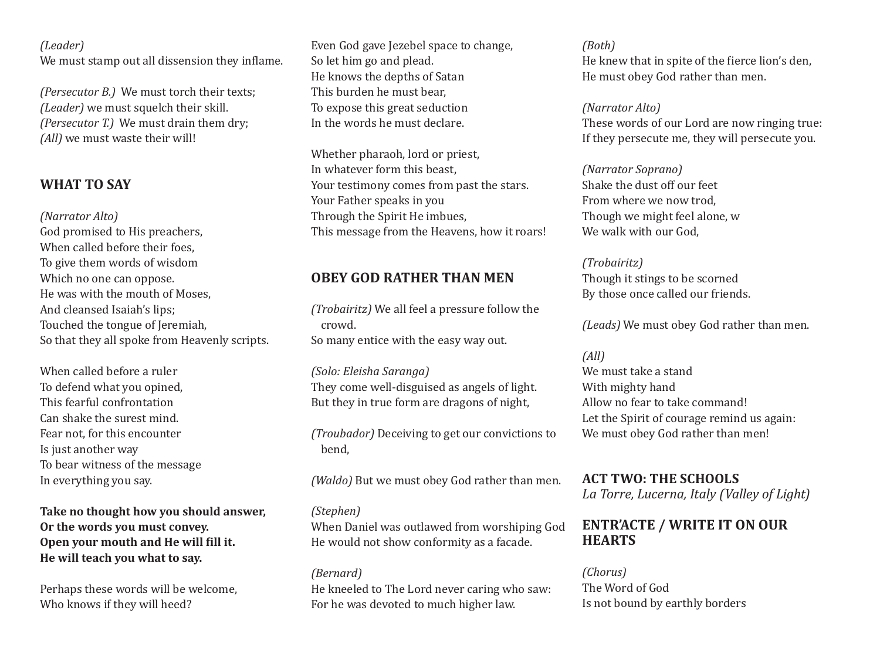## *(Leader)*

We must stamp out all dissension they inflame.

*(Persecutor B.)* We must torch their texts; *(Leader)* we must squelch their skill. *(Persecutor T.)* We must drain them dry; *(All)* we must waste their will!

## **WHAT TO SAY**

#### *(Narrator Alto)*

God promised to His preachers, When called before their foes, To give them words of wisdom Which no one can oppose. He was with the mouth of Moses, And cleansed Isaiah's lips; Touched the tongue of Jeremiah, So that they all spoke from Heavenly scripts.

When called before a ruler To defend what you opined, This fearful confrontation Can shake the surest mind. Fear not, for this encounter Is just another way To bear witness of the message In everything you say.

**Take no thought how you should answer, Or the words you must convey. Open your mouth and He will fill it. He will teach you what to say.**

Perhaps these words will be welcome, Who knows if they will heed?

Even God gave Jezebel space to change, So let him go and plead. He knows the depths of Satan This burden he must bear, To expose this great seduction In the words he must declare.

Whether pharaoh, lord or priest, In whatever form this beast, Your testimony comes from past the stars. Your Father speaks in you Through the Spirit He imbues, This message from the Heavens, how it roars!

## **Obey God Rather Than Men**

*(Trobairitz)* We all feel a pressure follow the crowd. So many entice with the easy way out.

*(Solo: Eleisha Saranga)*  They come well-disguised as angels of light. But they in true form are dragons of night,

*(Troubador)* Deceiving to get our convictions to bend,

*(Waldo)* But we must obey God rather than men.

## *(Stephen)*

When Daniel was outlawed from worshiping God He would not show conformity as a facade.

*(Bernard)*  He kneeled to The Lord never caring who saw: For he was devoted to much higher law.

*(Both)* 

He knew that in spite of the fierce lion's den, He must obey God rather than men.

*(Narrator Alto)* 

These words of our Lord are now ringing true: If they persecute me, they will persecute you.

*(Narrator Soprano)*  Shake the dust off our feet From where we now trod, Though we might feel alone, w We walk with our God.

## *(Trobairitz)*

Though it stings to be scorned By those once called our friends.

*(Leads)* We must obey God rather than men.

#### *(All)*

We must take a stand With mighty hand Allow no fear to take command! Let the Spirit of courage remind us again: We must obey God rather than men!

**ACT TWO: THE SCHOOLS** *La Torre, Lucerna, Italy (Valley of Light)*

## **Entr'acte / Write It on Our Hearts**

*(Chorus)*  The Word of God Is not bound by earthly borders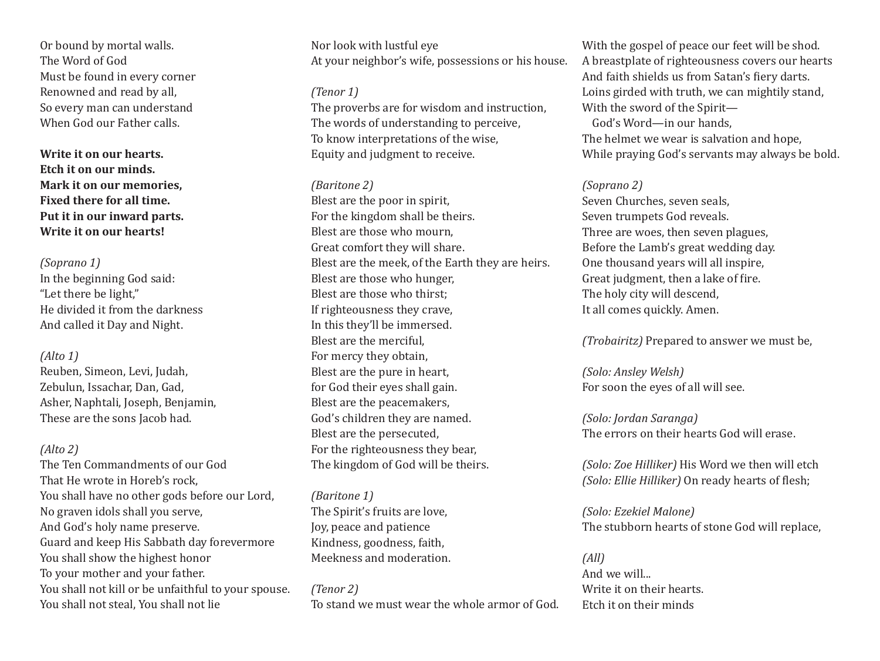Or bound by mortal walls. The Word of God Must be found in every corner Renowned and read by all, So every man can understand When God our Father calls.

**Write it on our hearts. Etch it on our minds. Mark it on our memories, Fixed there for all time. Put it in our inward parts. Write it on our hearts!**

#### *(Soprano 1)*

In the beginning God said: "Let there be light," He divided it from the darkness And called it Day and Night.

#### *(Alto 1)*

Reuben, Simeon, Levi, Judah, Zebulun, Issachar, Dan, Gad, Asher, Naphtali, Joseph, Benjamin, These are the sons Jacob had.

## *(Alto 2)*

The Ten Commandments of our God That He wrote in Horeb's rock, You shall have no other gods before our Lord, No graven idols shall you serve, And God's holy name preserve. Guard and keep His Sabbath day forevermore You shall show the highest honor To your mother and your father. You shall not kill or be unfaithful to your spouse. You shall not steal, You shall not lie

Nor look with lustful eye At your neighbor's wife, possessions or his house.

#### *(Tenor 1)*

The proverbs are for wisdom and instruction, The words of understanding to perceive, To know interpretations of the wise, Equity and judgment to receive.

#### *(Baritone 2)*

Blest are the poor in spirit, For the kingdom shall be theirs. Blest are those who mourn, Great comfort they will share. Blest are the meek, of the Earth they are heirs. Blest are those who hunger, Blest are those who thirst; If righteousness they crave, In this they'll be immersed. Blest are the merciful, For mercy they obtain, Blest are the pure in heart, for God their eyes shall gain. Blest are the peacemakers, God's children they are named. Blest are the persecuted, For the righteousness they bear, The kingdom of God will be theirs.

## *(Baritone 1)*

The Spirit's fruits are love, Joy, peace and patience Kindness, goodness, faith, Meekness and moderation.

*(Tenor 2)* To stand we must wear the whole armor of God.

With the gospel of peace our feet will be shod. A breastplate of righteousness covers our hearts And faith shields us from Satan's fiery darts. Loins girded with truth, we can mightily stand, With the sword of the Spirit-God's Word—in our hands, The helmet we wear is salvation and hope, While praying God's servants may always be bold.

#### *(Soprano 2)*

Seven Churches, seven seals, Seven trumpets God reveals. Three are woes, then seven plagues, Before the Lamb's great wedding day. One thousand years will all inspire, Great judgment, then a lake of fire. The holy city will descend, It all comes quickly. Amen.

*(Trobairitz)* Prepared to answer we must be,

*(Solo: Ansley Welsh)*  For soon the eyes of all will see.

*(Solo: Jordan Saranga)*  The errors on their hearts God will erase.

*(Solo: Zoe Hilliker)* His Word we then will etch *(Solo: Ellie Hilliker)* On ready hearts of flesh;

*(Solo: Ezekiel Malone)*  The stubborn hearts of stone God will replace,

## *(All)* And we will... Write it on their hearts. Etch it on their minds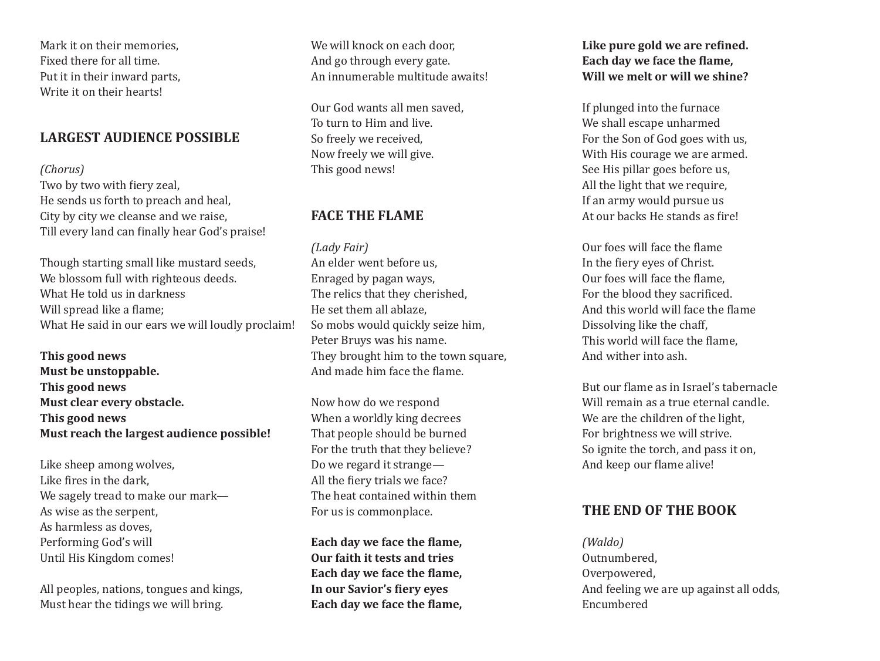Mark it on their memories, Fixed there for all time. Put it in their inward parts, Write it on their hearts!

## **Largest Audience Possible**

### *(Chorus)*

Two by two with fiery zeal, He sends us forth to preach and heal, City by city we cleanse and we raise, Till every land can finally hear God's praise!

Though starting small like mustard seeds, We blossom full with righteous deeds. What He told us in darkness Will spread like a flame; What He said in our ears we will loudly proclaim!

**This good news Must be unstoppable. This good news Must clear every obstacle. This good news Must reach the largest audience possible!**

Like sheep among wolves, Like fires in the dark, We sagely tread to make our mark— As wise as the serpent, As harmless as doves, Performing God's will Until His Kingdom comes!

All peoples, nations, tongues and kings, Must hear the tidings we will bring.

We will knock on each door. And go through every gate. An innumerable multitude awaits!

Our God wants all men saved, To turn to Him and live. So freely we received, Now freely we will give. This good news!

## **Face the Flame**

*(Lady Fair)* An elder went before us, Enraged by pagan ways, The relics that they cherished, He set them all ablaze, So mobs would quickly seize him, Peter Bruys was his name. They brought him to the town square, And made him face the flame.

Now how do we respond When a worldly king decrees That people should be burned For the truth that they believe? Do we regard it strange— All the fiery trials we face? The heat contained within them For us is commonplace.

**Each day we face the flame, Our faith it tests and tries Each day we face the flame, In our Savior's fiery eyes Each day we face the flame,** **Like pure gold we are refined. Each day we face the flame, Will we melt or will we shine?**

If plunged into the furnace We shall escape unharmed For the Son of God goes with us, With His courage we are armed. See His pillar goes before us, All the light that we require, If an army would pursue us At our backs He stands as fire!

Our foes will face the flame In the fiery eyes of Christ. Our foes will face the flame, For the blood they sacrificed. And this world will face the flame Dissolving like the chaff, This world will face the flame, And wither into ash.

But our flame as in Israel's tabernacle Will remain as a true eternal candle. We are the children of the light. For brightness we will strive. So ignite the torch, and pass it on, And keep our flame alive!

## **The End of the Book**

*(Waldo)* Outnumbered, Overpowered, And feeling we are up against all odds, Encumbered